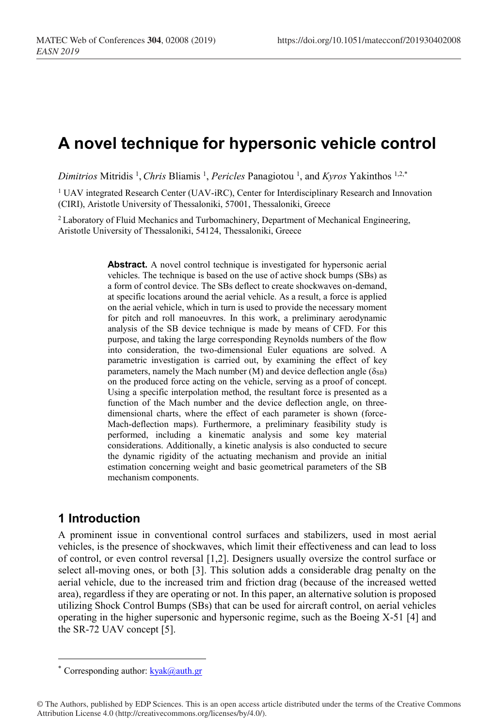# **Α novel technique for hypersonic vehicle control**

*Dimitrios* Mitridis <sup>1</sup> , *Chris* Bliamis <sup>1</sup> , *Pericles* Panagiotou <sup>1</sup> , and *Kyros* Yakinthos 1,2,\*

<sup>1</sup> UAV integrated Research Center (UAV-iRC), Center for Interdisciplinary Research and Innovation (CIRI), Aristotle University of Thessaloniki, 57001, Thessaloniki, Greece

2 Laboratory of Fluid Mechanics and Turbomachinery, Department of Mechanical Engineering, Aristotle University of Thessaloniki, 54124, Thessaloniki, Greece

> Abstract. A novel control technique is investigated for hypersonic aerial vehicles. The technique is based on the use of active shock bumps (SBs) as a form of control device. The SBs deflect to create shockwaves on-demand, at specific locations around the aerial vehicle. As a result, a force is applied on the aerial vehicle, which in turn is used to provide the necessary moment for pitch and roll manoeuvres. In this work, a preliminary aerodynamic analysis of the SB device technique is made by means of CFD. For this purpose, and taking the large corresponding Reynolds numbers of the flow into consideration, the two-dimensional Euler equations are solved. A parametric investigation is carried out, by examining the effect of key parameters, namely the Mach number  $(M)$  and device deflection angle  $(\delta_{SB})$ on the produced force acting on the vehicle, serving as a proof of concept. Using a specific interpolation method, the resultant force is presented as a function of the Mach number and the device deflection angle, on threedimensional charts, where the effect of each parameter is shown (force-Mach-deflection maps). Furthermore, a preliminary feasibility study is performed, including a kinematic analysis and some key material considerations. Additionally, a kinetic analysis is also conducted to secure the dynamic rigidity of the actuating mechanism and provide an initial estimation concerning weight and basic geometrical parameters of the SB mechanism components.

# **1 Introduction**

A prominent issue in conventional control surfaces and stabilizers, used in most aerial vehicles, is the presence of shockwaves, which limit their effectiveness and can lead to loss of control, or even control reversal [1,2]. Designers usually oversize the control surface or select all-moving ones, or both [3]. This solution adds a considerable drag penalty on the aerial vehicle, due to the increased trim and friction drag (because of the increased wetted area), regardless if they are operating or not. In this paper, an alternative solution is proposed utilizing Shock Control Bumps (SBs) that can be used for aircraft control, on aerial vehicles operating in the higher supersonic and hypersonic regime, such as the Boeing X-51 [4] and the SR-72 UAV concept [5].

<sup>\*</sup> Corresponding author:  $k$ yak@auth.gr

<sup>©</sup> The Authors, published by EDP Sciences. This is an open access article distributed under the terms of the Creative Commons Attribution License 4.0 (http://creativecommons.org/licenses/by/4.0/).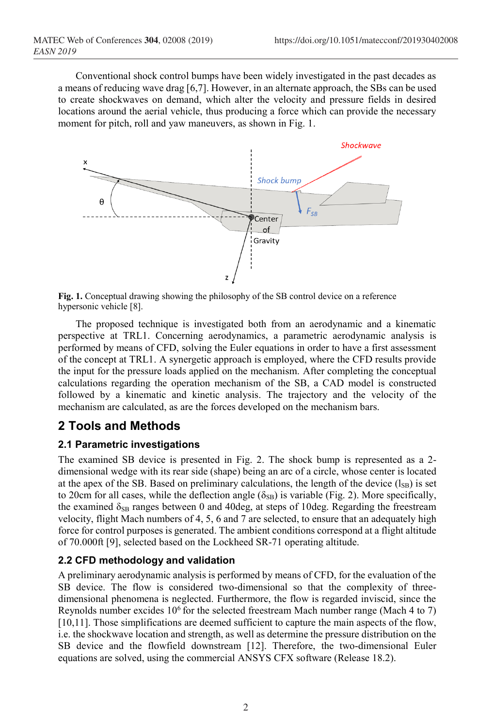Conventional shock control bumps have been widely investigated in the past decades as a means of reducing wave drag [6,7]. However, in an alternate approach, the SBs can be used to create shockwaves on demand, which alter the velocity and pressure fields in desired locations around the aerial vehicle, thus producing a force which can provide the necessary moment for pitch, roll and yaw maneuvers, as shown in Fig. 1.



**Fig. 1.** Conceptual drawing showing the philosophy of the SB control device on a reference hypersonic vehicle [8].

The proposed technique is investigated both from an aerodynamic and a kinematic perspective at TRL1. Concerning aerodynamics, a parametric aerodynamic analysis is performed by means of CFD, solving the Euler equations in order to have a first assessment of the concept at TRL1. A synergetic approach is employed, where the CFD results provide the input for the pressure loads applied on the mechanism. After completing the conceptual calculations regarding the operation mechanism of the SB, a CAD model is constructed followed by a kinematic and kinetic analysis. The trajectory and the velocity of the mechanism are calculated, as are the forces developed on the mechanism bars.

# **2 Tools and Methods**

#### **2.1 Parametric investigations**

The examined SB device is presented in Fig. 2. The shock bump is represented as a 2 dimensional wedge with its rear side (shape) being an arc of a circle, whose center is located at the apex of the SB. Based on preliminary calculations, the length of the device  $(l_{SB})$  is set to 20cm for all cases, while the deflection angle  $(\delta_{SB})$  is variable (Fig. 2). More specifically, the examined  $\delta_{SB}$  ranges between 0 and 40deg, at steps of 10deg. Regarding the freestream velocity, flight Mach numbers of 4, 5, 6 and 7 are selected, to ensure that an adequately high force for control purposes is generated. The ambient conditions correspond at a flight altitude of 70.000ft [9], selected based on the Lockheed SR-71 operating altitude.

#### **2.2 CFD methodology and validation**

A preliminary aerodynamic analysis is performed by means of CFD, for the evaluation of the SB device. The flow is considered two-dimensional so that the complexity of threedimensional phenomena is neglected. Furthermore, the flow is regarded inviscid, since the Reynolds number excides  $10<sup>6</sup>$  for the selected freestream Mach number range (Mach 4 to 7) [10,11]. Those simplifications are deemed sufficient to capture the main aspects of the flow, i.e. the shockwave location and strength, as well as determine the pressure distribution on the SB device and the flowfield downstream [12]. Therefore, the two-dimensional Euler equations are solved, using the commercial ANSYS CFX software (Release 18.2).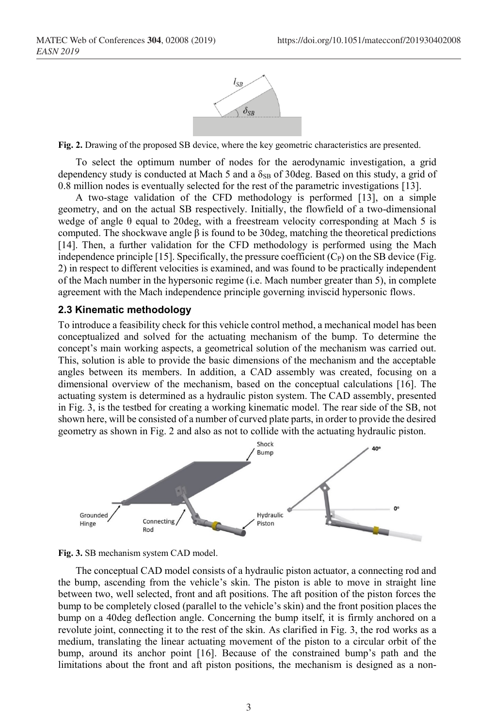

**Fig. 2.** Drawing of the proposed SB device, where the key geometric characteristics are presented.

To select the optimum number of nodes for the aerodynamic investigation, a grid dependency study is conducted at Mach 5 and a  $\delta_{SB}$  of 30deg. Based on this study, a grid of 0.8 million nodes is eventually selected for the rest of the parametric investigations [13].

A two-stage validation of the CFD methodology is performed [13], on a simple geometry, and on the actual SB respectively. Initially, the flowfield of a two-dimensional wedge of angle  $\theta$  equal to 20deg, with a freestream velocity corresponding at Mach 5 is computed. The shockwave angle β is found to be 30deg, matching the theoretical predictions [14]. Then, a further validation for the CFD methodology is performed using the Mach independence principle [15]. Specifically, the pressure coefficient  $(C<sub>P</sub>)$  on the SB device (Fig. 2) in respect to different velocities is examined, and was found to be practically independent of the Mach number in the hypersonic regime (i.e. Mach number greater than 5), in complete agreement with the Mach independence principle governing inviscid hypersonic flows.

#### **2.3 Kinematic methodology**

To introduce a feasibility check for this vehicle control method, a mechanical model has been conceptualized and solved for the actuating mechanism of the bump. To determine the concept's main working aspects, a geometrical solution of the mechanism was carried out. This, solution is able to provide the basic dimensions of the mechanism and the acceptable angles between its members. In addition, a CAD assembly was created, focusing on a dimensional overview of the mechanism, based on the conceptual calculations [16]. The actuating system is determined as a hydraulic piston system. The CAD assembly, presented in Fig. 3, is the testbed for creating a working kinematic model. The rear side of the SB, not shown here, will be consisted of a number of curved plate parts, in order to provide the desired geometry as shown in Fig. 2 and also as not to collide with the actuating hydraulic piston.





The conceptual CAD model consists of a hydraulic piston actuator, a connecting rod and the bump, ascending from the vehicle's skin. The piston is able to move in straight line between two, well selected, front and aft positions. The aft position of the piston forces the bump to be completely closed (parallel to the vehicle's skin) and the front position places the bump on a 40deg deflection angle. Concerning the bump itself, it is firmly anchored on a revolute joint, connecting it to the rest of the skin. As clarified in Fig. 3, the rod works as a medium, translating the linear actuating movement of the piston to a circular orbit of the bump, around its anchor point [16]. Because of the constrained bump's path and the limitations about the front and aft piston positions, the mechanism is designed as a non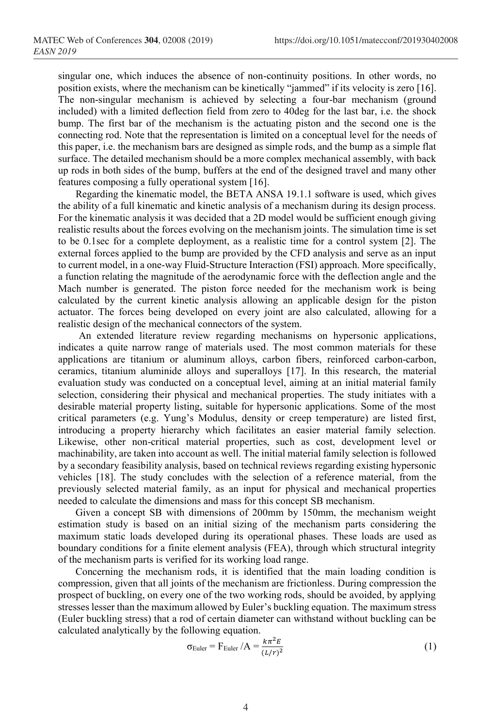singular one, which induces the absence of non-continuity positions. In other words, no position exists, where the mechanism can be kinetically "jammed" if its velocity is zero [16]. The non-singular mechanism is achieved by selecting a four-bar mechanism (ground included) with a limited deflection field from zero to 40deg for the last bar, i.e. the shock bump. The first bar of the mechanism is the actuating piston and the second one is the connecting rod. Note that the representation is limited on a conceptual level for the needs of this paper, i.e. the mechanism bars are designed as simple rods, and the bump as a simple flat surface. The detailed mechanism should be a more complex mechanical assembly, with back up rods in both sides of the bump, buffers at the end of the designed travel and many other features composing a fully operational system [16].

Regarding the kinematic model, the BETA ANSA 19.1.1 software is used, which gives the ability of a full kinematic and kinetic analysis of a mechanism during its design process. For the kinematic analysis it was decided that a 2D model would be sufficient enough giving realistic results about the forces evolving on the mechanism joints. The simulation time is set to be 0.1sec for a complete deployment, as a realistic time for a control system [2]. The external forces applied to the bump are provided by the CFD analysis and serve as an input to current model, in a one-way Fluid-Structure Interaction (FSI) approach. More specifically, a function relating the magnitude of the aerodynamic force with the deflection angle and the Mach number is generated. The piston force needed for the mechanism work is being calculated by the current kinetic analysis allowing an applicable design for the piston actuator. The forces being developed on every joint are also calculated, allowing for a realistic design of the mechanical connectors of the system.

 An extended literature review regarding mechanisms on hypersonic applications, indicates a quite narrow range of materials used. The most common materials for these applications are titanium or aluminum alloys, carbon fibers, reinforced carbon-carbon, ceramics, titanium aluminide alloys and superalloys [17]. In this research, the material evaluation study was conducted on a conceptual level, aiming at an initial material family selection, considering their physical and mechanical properties. The study initiates with a desirable material property listing, suitable for hypersonic applications. Some of the most critical parameters (e.g. Yung's Modulus, density or creep temperature) are listed first, introducing a property hierarchy which facilitates an easier material family selection. Likewise, other non-critical material properties, such as cost, development level or machinability, are taken into account as well. The initial material family selection is followed by a secondary feasibility analysis, based on technical reviews regarding existing hypersonic vehicles [18]. The study concludes with the selection of a reference material, from the previously selected material family, as an input for physical and mechanical properties needed to calculate the dimensions and mass for this concept SB mechanism.

Given a concept SB with dimensions of 200mm by 150mm, the mechanism weight estimation study is based on an initial sizing of the mechanism parts considering the maximum static loads developed during its operational phases. These loads are used as boundary conditions for a finite element analysis (FEA), through which structural integrity of the mechanism parts is verified for its working load range.

Concerning the mechanism rods, it is identified that the main loading condition is compression, given that all joints of the mechanism are frictionless. During compression the prospect of buckling, on every one of the two working rods, should be avoided, by applying stresses lesser than the maximum allowed by Euler's buckling equation. The maximum stress (Euler buckling stress) that a rod of certain diameter can withstand without buckling can be calculated analytically by the following equation.

$$
\sigma_{\text{Euler}} = F_{\text{Euler}} / A = \frac{k \pi^2 E}{(L/r)^2}
$$
 (1)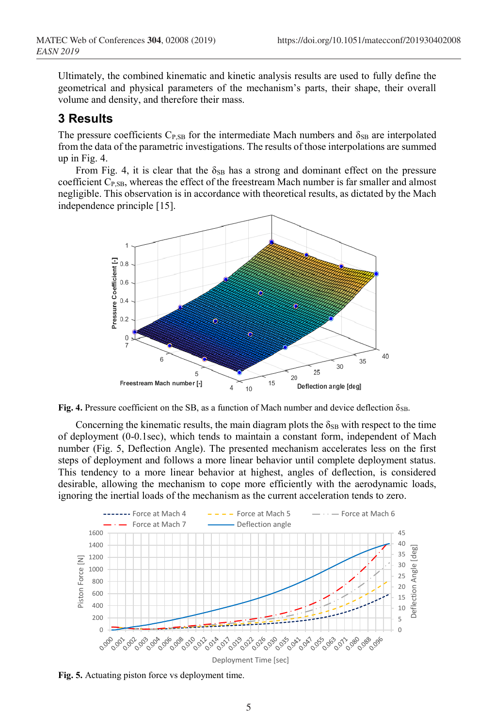Ultimately, the combined kinematic and kinetic analysis results are used to fully define the geometrical and physical parameters of the mechanism's parts, their shape, their overall volume and density, and therefore their mass.

### **3 Results**

The pressure coefficients  $C_{P,SB}$  for the intermediate Mach numbers and  $\delta_{SB}$  are interpolated from the data of the parametric investigations. The results of those interpolations are summed up in Fig. 4.

From Fig. 4, it is clear that the  $\delta_{SB}$  has a strong and dominant effect on the pressure coefficient C<sub>P,SB</sub>, whereas the effect of the freestream Mach number is far smaller and almost negligible. This observation is in accordance with theoretical results, as dictated by the Mach independence principle [15].



**Fig. 4.** Pressure coefficient on the SB, as a function of Mach number and device deflection δ<sub>SB</sub>.

Concerning the kinematic results, the main diagram plots the  $\delta_{SB}$  with respect to the time of deployment (0-0.1sec), which tends to maintain a constant form, independent of Mach number (Fig. 5, Deflection Angle). The presented mechanism accelerates less on the first steps of deployment and follows a more linear behavior until complete deployment status. This tendency to a more linear behavior at highest, angles of deflection, is considered desirable, allowing the mechanism to cope more efficiently with the aerodynamic loads, ignoring the inertial loads of the mechanism as the current acceleration tends to zero.



**Fig. 5.** Actuating piston force vs deployment time.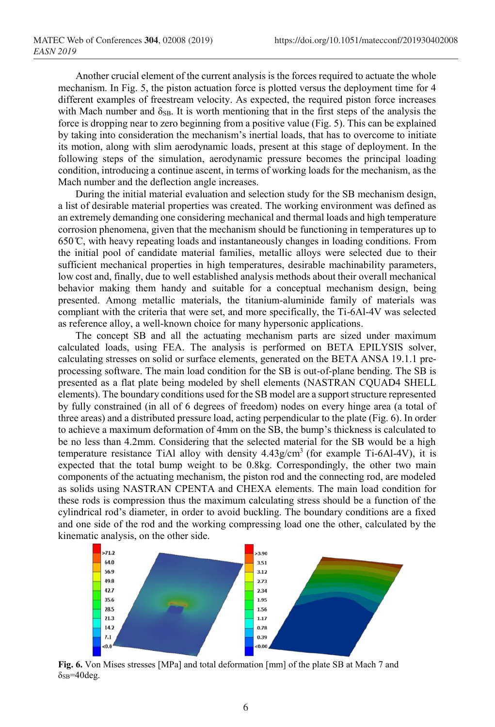Another crucial element of the current analysis is the forces required to actuate the whole mechanism. In Fig. 5, the piston actuation force is plotted versus the deployment time for 4 different examples of freestream velocity. As expected, the required piston force increases with Mach number and  $\delta_{SB}$ . It is worth mentioning that in the first steps of the analysis the force is dropping near to zero beginning from a positive value (Fig. 5). This can be explained by taking into consideration the mechanism's inertial loads, that has to overcome to initiate its motion, along with slim aerodynamic loads, present at this stage of deployment. In the following steps of the simulation, aerodynamic pressure becomes the principal loading condition, introducing a continue ascent, in terms of working loads for the mechanism, as the Mach number and the deflection angle increases.

During the initial material evaluation and selection study for the SB mechanism design, a list of desirable material properties was created. The working environment was defined as an extremely demanding one considering mechanical and thermal loads and high temperature corrosion phenomena, given that the mechanism should be functioning in temperatures up to  $650^\circ$ C, with heavy repeating loads and instantaneously changes in loading conditions. From the initial pool of candidate material families, metallic alloys were selected due to their sufficient mechanical properties in high temperatures, desirable machinability parameters, low cost and, finally, due to well established analysis methods about their overall mechanical behavior making them handy and suitable for a conceptual mechanism design, being presented. Among metallic materials, the titanium-aluminide family of materials was compliant with the criteria that were set, and more specifically, the Ti-6Al-4V was selected as reference alloy, a well-known choice for many hypersonic applications.

The concept SB and all the actuating mechanism parts are sized under maximum calculated loads, using FEA. The analysis is performed on BETA EPILYSIS solver, calculating stresses on solid or surface elements, generated on the BETA ANSA 19.1.1 preprocessing software. The main load condition for the SB is out-of-plane bending. The SB is presented as a flat plate being modeled by shell elements (NASTRAN CQUAD4 SHELL elements). The boundary conditions used for the SB model are a support structure represented by fully constrained (in all of 6 degrees of freedom) nodes on every hinge area (a total of three areas) and a distributed pressure load, acting perpendicular to the plate (Fig. 6). In order to achieve a maximum deformation of 4mm on the SB, the bump's thickness is calculated to be no less than 4.2mm. Considering that the selected material for the SB would be a high temperature resistance TiAl alloy with density  $4.43$ g/cm<sup>3</sup> (for example Ti-6Al-4V), it is expected that the total bump weight to be 0.8kg. Correspondingly, the other two main components of the actuating mechanism, the piston rod and the connecting rod, are modeled as solids using NASTRAN CPENTA and CHEXA elements. The main load condition for these rods is compression thus the maximum calculating stress should be a function of the cylindrical rod's diameter, in order to avoid buckling. The boundary conditions are a fixed and one side of the rod and the working compressing load one the other, calculated by the kinematic analysis, on the other side.



**Fig. 6.** Von Mises stresses [MPa] and total deformation [mm] of the plate SB at Mach 7 and  $\delta$ <sub>SB</sub>=40deg.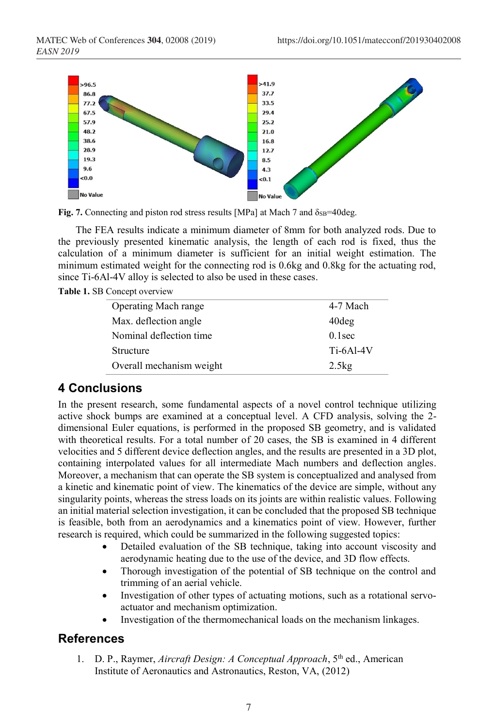

**Fig. 7.** Connecting and piston rod stress results [MPa] at Mach 7 and  $\delta_{SB}$ =40deg.

The FEA results indicate a minimum diameter of 8mm for both analyzed rods. Due to the previously presented kinematic analysis, the length of each rod is fixed, thus the calculation of a minimum diameter is sufficient for an initial weight estimation. The minimum estimated weight for the connecting rod is 0.6kg and 0.8kg for the actuating rod, since Ti-6Al-4V alloy is selected to also be used in these cases.

|  |  | Table 1. SB Concept overview |
|--|--|------------------------------|
|  |  |                              |

| Operating Mach range     | 4-7 Mach          |
|--------------------------|-------------------|
| Max. deflection angle    | 40 <sub>deg</sub> |
| Nominal deflection time  | $0.1$ sec         |
| Structure                | $Ti-6Al-4V$       |
| Overall mechanism weight | 2.5kg             |
|                          |                   |

## **4 Conclusions**

In the present research, some fundamental aspects of a novel control technique utilizing active shock bumps are examined at a conceptual level. A CFD analysis, solving the 2 dimensional Euler equations, is performed in the proposed SB geometry, and is validated with theoretical results. For a total number of 20 cases, the SB is examined in 4 different velocities and 5 different device deflection angles, and the results are presented in a 3D plot, containing interpolated values for all intermediate Mach numbers and deflection angles. Moreover, a mechanism that can operate the SB system is conceptualized and analysed from a kinetic and kinematic point of view. The kinematics of the device are simple, without any singularity points, whereas the stress loads on its joints are within realistic values. Following an initial material selection investigation, it can be concluded that the proposed SB technique is feasible, both from an aerodynamics and a kinematics point of view. However, further research is required, which could be summarized in the following suggested topics:

- Detailed evaluation of the SB technique, taking into account viscosity and aerodynamic heating due to the use of the device, and 3D flow effects.
- Thorough investigation of the potential of SB technique on the control and trimming of an aerial vehicle.
- Investigation of other types of actuating motions, such as a rotational servoactuator and mechanism optimization.
- Investigation of the thermomechanical loads on the mechanism linkages.

#### **References**

1. D. P., Raymer, *Aircraft Design: A Conceptual Approach*, 5th ed., American Institute of Aeronautics and Astronautics, Reston, VA, (2012)